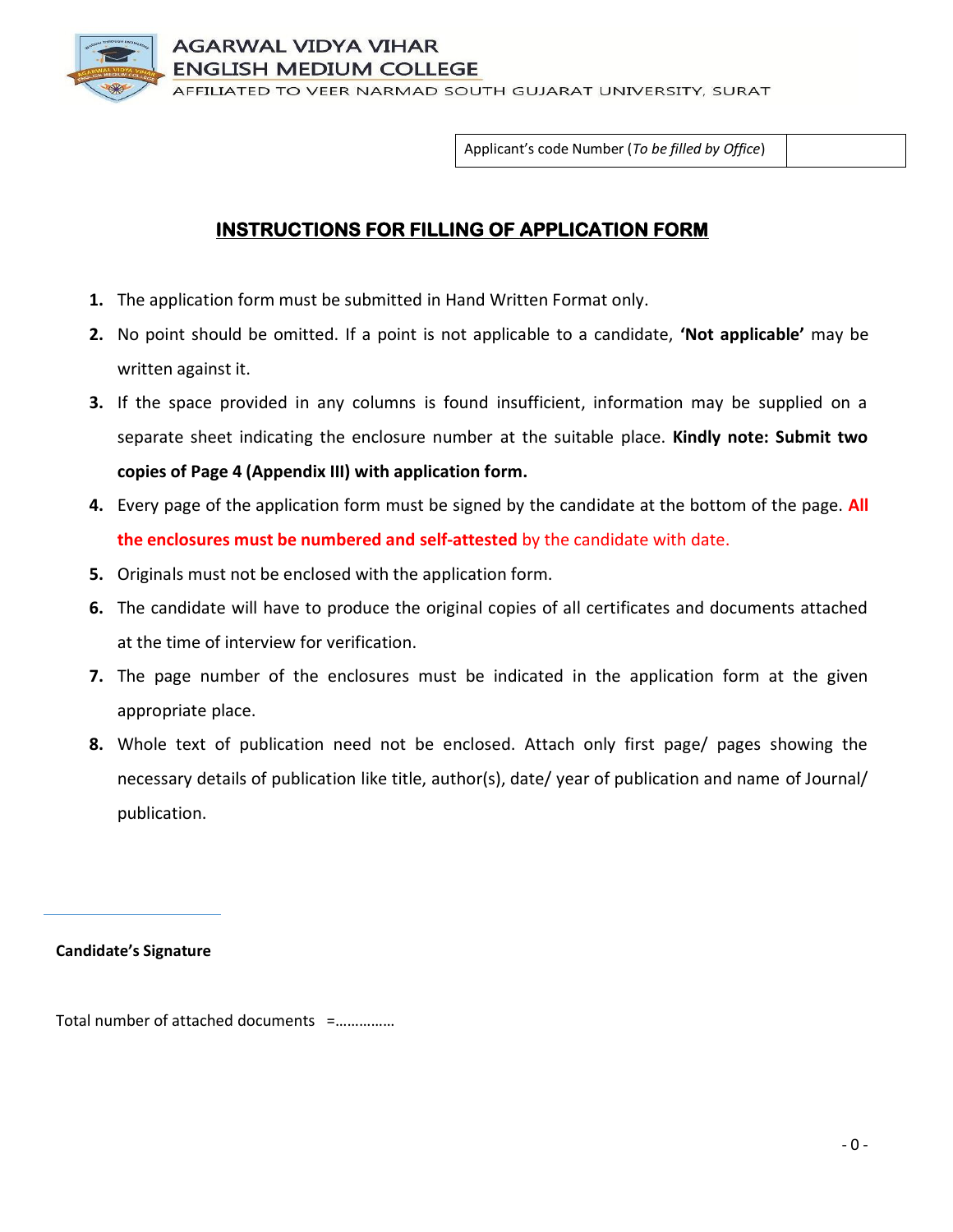AGARWAL VIDYA VIHAR SH MEDIUM COLLEGE **AFFILIATED TO VEER NARMAD SOUTH GUJARAT UNIVERSITY, SURAT** 

Applicant's code Number (*To be filled by Office*)

# **INSTRUCTIONS FOR FILLING OF APPLICATION FORM**

- **1.** The application form must be submitted in Hand Written Format only.
- **2.** No point should be omitted. If a point is not applicable to a candidate, **'Not applicable'** may be written against it.
- **3.** If the space provided in any columns is found insufficient, information may be supplied on a separate sheet indicating the enclosure number at the suitable place. **Kindly note: Submit two copies of Page 4 (Appendix III) with application form.**
- **4.** Every page of the application form must be signed by the candidate at the bottom of the page. **All the enclosures must be numbered and self-attested** by the candidate with date.
- **5.** Originals must not be enclosed with the application form.
- **6.** The candidate will have to produce the original copies of all certificates and documents attached at the time of interview for verification.
- **7.** The page number of the enclosures must be indicated in the application form at the given appropriate place.
- **8.** Whole text of publication need not be enclosed. Attach only first page/ pages showing the necessary details of publication like title, author(s), date/ year of publication and name of Journal/ publication.

**Candidate's Signature** 

Total number of attached documents =……………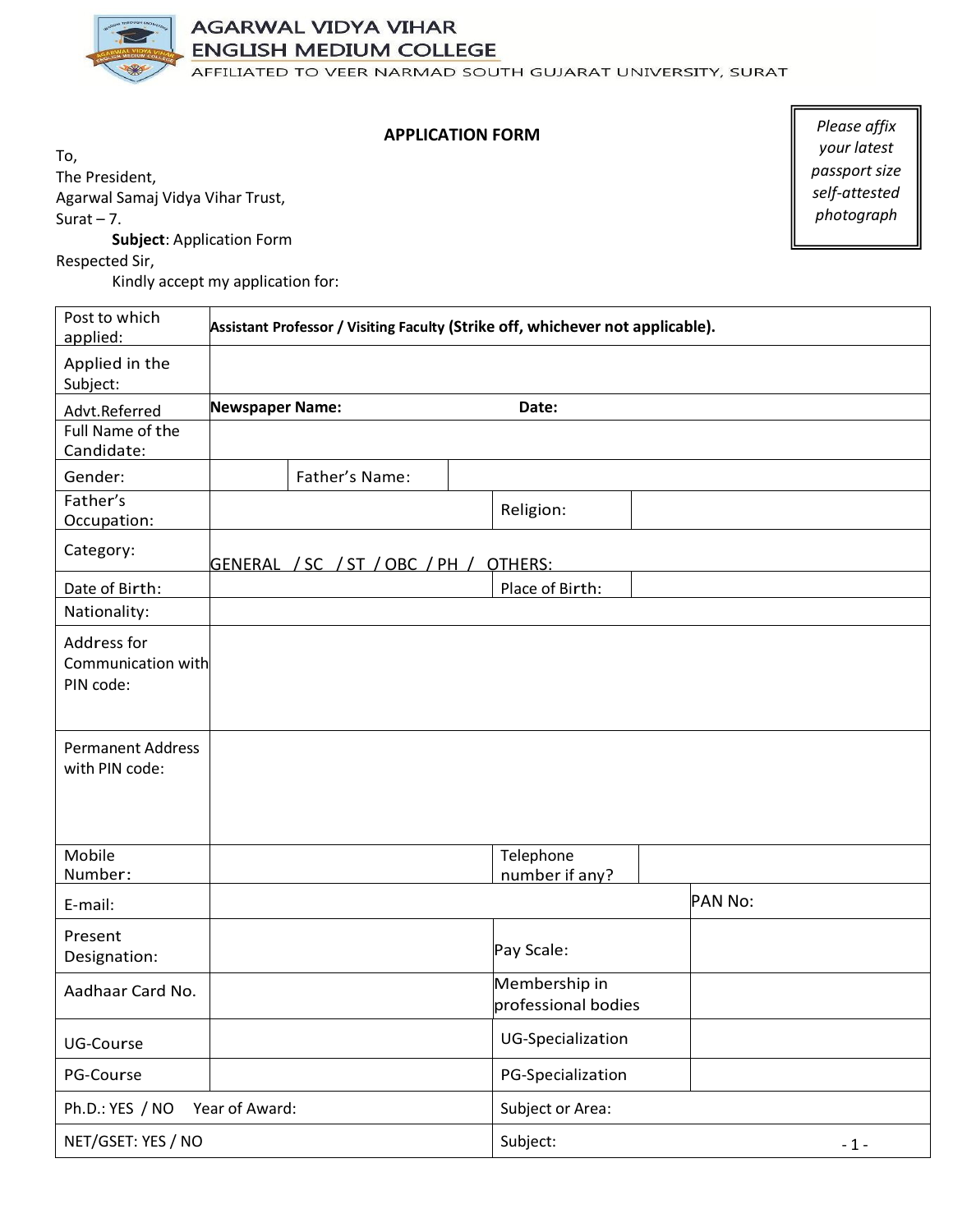

### **AGARWAL VIDYA VIHAR ENGLISH MEDIUM COLLEGE**

AFFILIATED TO VEER NARMAD SOUTH GUJARAT UNIVERSITY, SURAT

#### **APPLICATION FORM**

To, The President, Agarwal Samaj Vidya Vihar Trust, Surat  $-7$ .

**Subject**: Application Form

Respected Sir,

Kindly accept my application for:

| Post to which<br>applied:                      | Assistant Professor / Visiting Faculty (Strike off, whichever not applicable). |                                |                                      |  |         |            |
|------------------------------------------------|--------------------------------------------------------------------------------|--------------------------------|--------------------------------------|--|---------|------------|
| Applied in the<br>Subject:                     |                                                                                |                                |                                      |  |         |            |
| Advt.Referred                                  | <b>Newspaper Name:</b>                                                         |                                | Date:                                |  |         |            |
| Full Name of the<br>Candidate:                 |                                                                                |                                |                                      |  |         |            |
| Gender:                                        |                                                                                | Father's Name:                 |                                      |  |         |            |
| Father's<br>Occupation:                        |                                                                                |                                | Religion:                            |  |         |            |
| Category:                                      |                                                                                | GENERAL / SC / ST / OBC / PH / | OTHERS:                              |  |         |            |
| Date of Birth:                                 |                                                                                |                                | Place of Birth:                      |  |         |            |
| Nationality:                                   |                                                                                |                                |                                      |  |         |            |
| Address for<br>Communication with<br>PIN code: |                                                                                |                                |                                      |  |         |            |
| <b>Permanent Address</b><br>with PIN code:     |                                                                                |                                |                                      |  |         |            |
| Mobile<br>Number:                              |                                                                                |                                | Telephone<br>number if any?          |  |         |            |
| E-mail:                                        |                                                                                |                                |                                      |  | PAN No: |            |
| Present<br>Designation:                        |                                                                                |                                | Pay Scale:                           |  |         |            |
| Aadhaar Card No.                               |                                                                                |                                | Membership in<br>professional bodies |  |         |            |
| UG-Course                                      |                                                                                |                                | UG-Specialization                    |  |         |            |
| PG-Course                                      |                                                                                |                                | PG-Specialization                    |  |         |            |
| Ph.D.: YES / NO                                | Year of Award:                                                                 |                                | Subject or Area:                     |  |         |            |
| NET/GSET: YES / NO                             |                                                                                |                                | Subject:                             |  |         | $\sim 1$ - |

*Please affix your latest passport size self-attested photograph*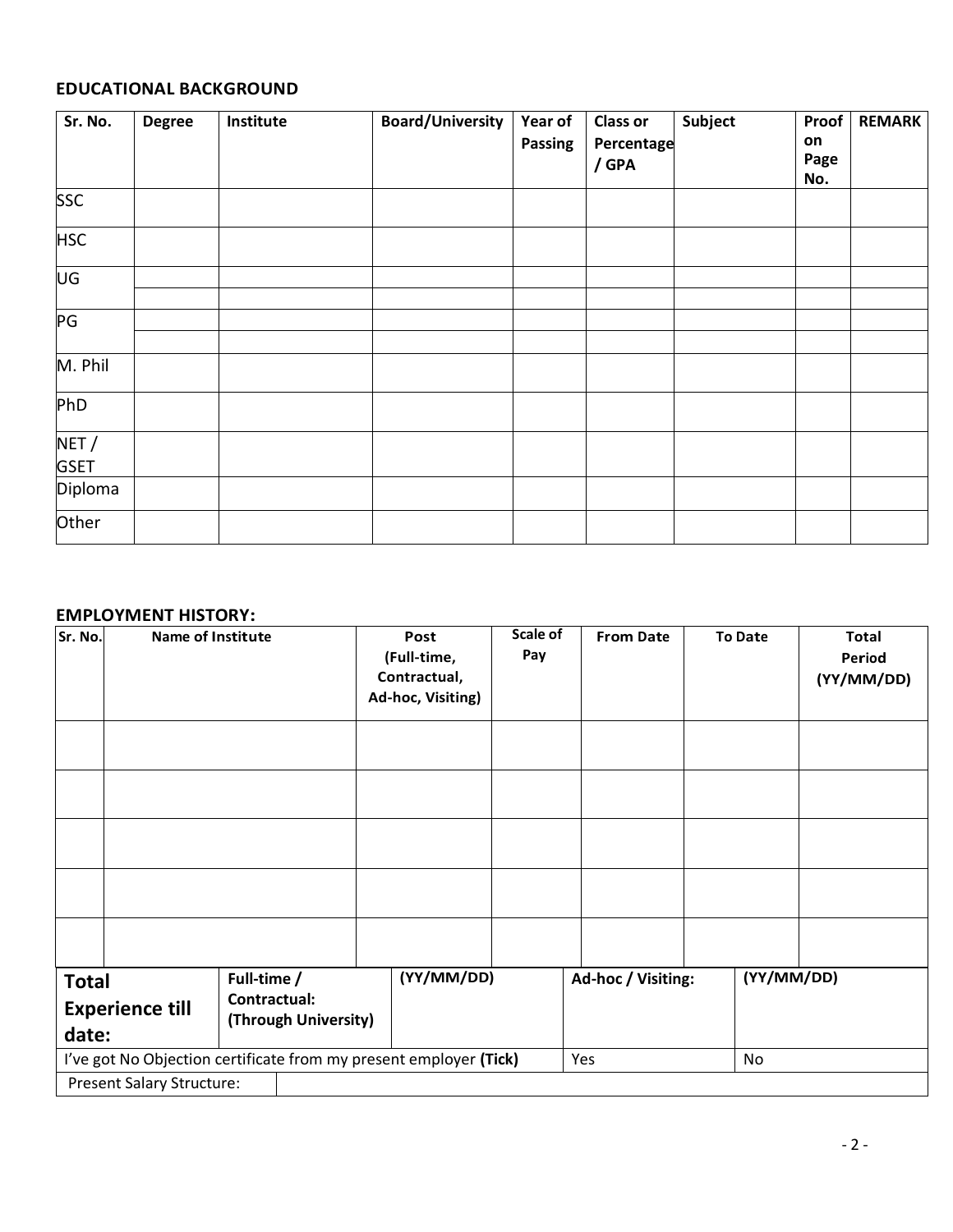### **EDUCATIONAL BACKGROUND**

| Sr. No.     | <b>Degree</b> | Institute | <b>Board/University</b> | Year of        | <b>Class or</b> | Subject | Proof      | <b>REMARK</b> |
|-------------|---------------|-----------|-------------------------|----------------|-----------------|---------|------------|---------------|
|             |               |           |                         | <b>Passing</b> | Percentage      |         | on<br>Page |               |
|             |               |           |                         |                | / GPA           |         | No.        |               |
| <b>SSC</b>  |               |           |                         |                |                 |         |            |               |
| <b>HSC</b>  |               |           |                         |                |                 |         |            |               |
| UG          |               |           |                         |                |                 |         |            |               |
|             |               |           |                         |                |                 |         |            |               |
| PG          |               |           |                         |                |                 |         |            |               |
|             |               |           |                         |                |                 |         |            |               |
| M. Phil     |               |           |                         |                |                 |         |            |               |
| PhD         |               |           |                         |                |                 |         |            |               |
| NET /       |               |           |                         |                |                 |         |            |               |
| <b>GSET</b> |               |           |                         |                |                 |         |            |               |
| Diploma     |               |           |                         |                |                 |         |            |               |
| Other       |               |           |                         |                |                 |         |            |               |

#### **EMPLOYMENT HISTORY:**

| Sr. No.                                         | <b>Name of Institute</b>                                                                              |                                                     |  | Post<br>(Full-time,<br>Contractual,<br>Ad-hoc, Visiting) | Scale of<br>Pay |    | <b>From Date</b>   | <b>To Date</b> | <b>Total</b><br>Period<br>(YY/MM/DD) |
|-------------------------------------------------|-------------------------------------------------------------------------------------------------------|-----------------------------------------------------|--|----------------------------------------------------------|-----------------|----|--------------------|----------------|--------------------------------------|
| <b>Total</b><br><b>Experience till</b><br>date: |                                                                                                       | Full-time /<br>Contractual:<br>(Through University) |  | (YY/MM/DD)                                               |                 |    | Ad-hoc / Visiting: | (YY/MM/DD)     |                                      |
|                                                 | I've got No Objection certificate from my present employer (Tick)<br><b>Present Salary Structure:</b> |                                                     |  | Yes                                                      |                 | No |                    |                |                                      |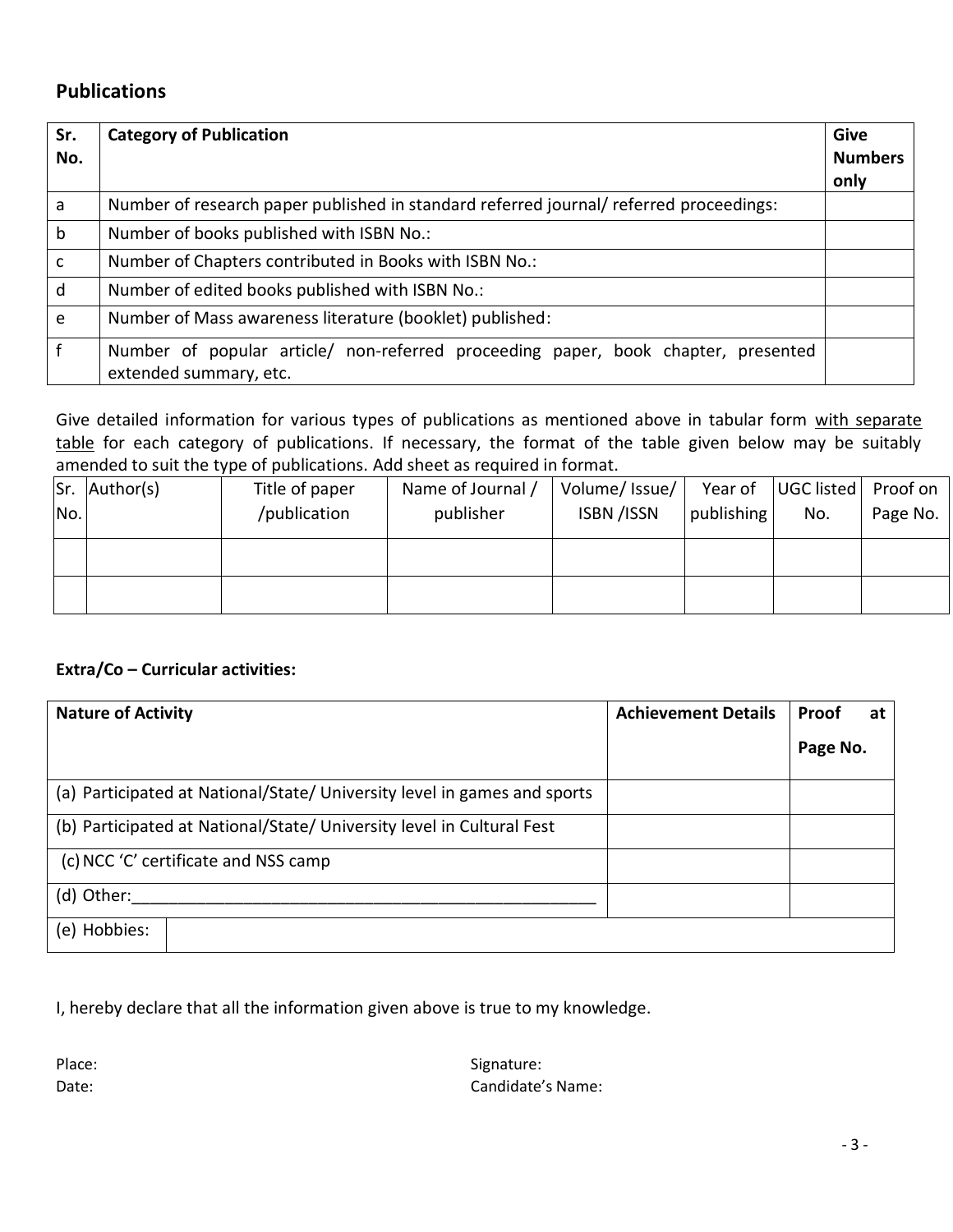### **Publications**

| Sr.<br>No.   | <b>Category of Publication</b>                                                                              | Give<br><b>Numbers</b><br>only |
|--------------|-------------------------------------------------------------------------------------------------------------|--------------------------------|
| a            | Number of research paper published in standard referred journal/ referred proceedings:                      |                                |
| $\mathsf{b}$ | Number of books published with ISBN No.:                                                                    |                                |
| $\mathsf{C}$ | Number of Chapters contributed in Books with ISBN No.:                                                      |                                |
| d            | Number of edited books published with ISBN No.:                                                             |                                |
| e            | Number of Mass awareness literature (booklet) published:                                                    |                                |
| f            | Number of popular article/ non-referred proceeding paper, book chapter, presented<br>extended summary, etc. |                                |

Give detailed information for various types of publications as mentioned above in tabular form with separate table for each category of publications. If necessary, the format of the table given below may be suitably amended to suit the type of publications. Add sheet as required in format.

|     | Sr. Author(s) | Title of paper | Name of Journal / | Volume/ Issue/     | Year of    | UGC listed | Proof on |
|-----|---------------|----------------|-------------------|--------------------|------------|------------|----------|
| No. |               | /publication   | publisher         | <b>ISBN</b> / ISSN | publishing | No.        | Page No. |
|     |               |                |                   |                    |            |            |          |
|     |               |                |                   |                    |            |            |          |
|     |               |                |                   |                    |            |            |          |
|     |               |                |                   |                    |            |            |          |
|     |               |                |                   |                    |            |            |          |

### **Extra/Co – Curricular activities:**

| <b>Nature of Activity</b>                                                | <b>Achievement Details</b> | Proof    | at |
|--------------------------------------------------------------------------|----------------------------|----------|----|
|                                                                          |                            | Page No. |    |
| (a) Participated at National/State/ University level in games and sports |                            |          |    |
| (b) Participated at National/State/ University level in Cultural Fest    |                            |          |    |
| (c) NCC 'C' certificate and NSS camp                                     |                            |          |    |
| (d) Other:                                                               |                            |          |    |
| (e) Hobbies:                                                             |                            |          |    |

I, hereby declare that all the information given above is true to my knowledge.

Place: Signature: Signature: Signature: Signature: Signature: Signature: Signature: Signature: Signature: Signature: Signature: Signature: Signature: Signature: Signature: Signature: Signature: Signature: Signature: Signat Date: Candidate's Name: